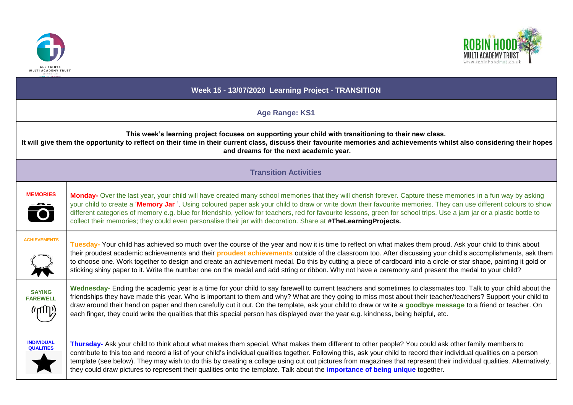



| Week 15 - 13/07/2020 Learning Project - TRANSITION                                                                                                                                                                                                                                                                         |                                                                                                                                                                                                                                                                                                                                                                                                                                                                                                                                                                                                                                                             |
|----------------------------------------------------------------------------------------------------------------------------------------------------------------------------------------------------------------------------------------------------------------------------------------------------------------------------|-------------------------------------------------------------------------------------------------------------------------------------------------------------------------------------------------------------------------------------------------------------------------------------------------------------------------------------------------------------------------------------------------------------------------------------------------------------------------------------------------------------------------------------------------------------------------------------------------------------------------------------------------------------|
| <b>Age Range: KS1</b>                                                                                                                                                                                                                                                                                                      |                                                                                                                                                                                                                                                                                                                                                                                                                                                                                                                                                                                                                                                             |
| This week's learning project focuses on supporting your child with transitioning to their new class.<br>It will give them the opportunity to reflect on their time in their current class, discuss their favourite memories and achievements whilst also considering their hopes<br>and dreams for the next academic year. |                                                                                                                                                                                                                                                                                                                                                                                                                                                                                                                                                                                                                                                             |
| <b>Transition Activities</b>                                                                                                                                                                                                                                                                                               |                                                                                                                                                                                                                                                                                                                                                                                                                                                                                                                                                                                                                                                             |
| <b>MEMORIES</b><br>$\ddot{\bullet}$                                                                                                                                                                                                                                                                                        | Monday- Over the last year, your child will have created many school memories that they will cherish forever. Capture these memories in a fun way by asking<br>your child to create a 'Memory Jar'. Using coloured paper ask your child to draw or write down their favourite memories. They can use different colours to show<br>different categories of memory e.g. blue for friendship, yellow for teachers, red for favourite lessons, green for school trips. Use a jam jar or a plastic bottle to<br>collect their memories; they could even personalise their jar with decoration. Share at #TheLearningProjects.                                    |
| <b>ACHIEVEMENTS</b>                                                                                                                                                                                                                                                                                                        | Tuesday- Your child has achieved so much over the course of the year and now it is time to reflect on what makes them proud. Ask your child to think about<br>their proudest academic achievements and their <b>proudest achievements</b> outside of the classroom too. After discussing your child's accomplishments, ask them<br>to choose one. Work together to design and create an achievement medal. Do this by cutting a piece of cardboard into a circle or star shape, painting it gold or<br>sticking shiny paper to it. Write the number one on the medal and add string or ribbon. Why not have a ceremony and present the medal to your child? |
| <b>SAYING</b><br><b>FAREWELL</b><br>(יועש)                                                                                                                                                                                                                                                                                 | Wednesday- Ending the academic year is a time for your child to say farewell to current teachers and sometimes to classmates too. Talk to your child about the<br>friendships they have made this year. Who is important to them and why? What are they going to miss most about their teacher/teachers? Support your child to<br>draw around their hand on paper and then carefully cut it out. On the template, ask your child to draw or write a goodbye message to a friend or teacher. On<br>each finger, they could write the qualities that this special person has displayed over the year e.g. kindness, being helpful, etc.                       |
| <b>INDIVIDUAL</b><br><b>QUALITIES</b>                                                                                                                                                                                                                                                                                      | Thursday- Ask your child to think about what makes them special. What makes them different to other people? You could ask other family members to<br>contribute to this too and record a list of your child's individual qualities together. Following this, ask your child to record their individual qualities on a person<br>template (see below). They may wish to do this by creating a collage using cut out pictures from magazines that represent their individual qualities. Alternatively,<br>they could draw pictures to represent their qualities onto the template. Talk about the importance of being unique together.                        |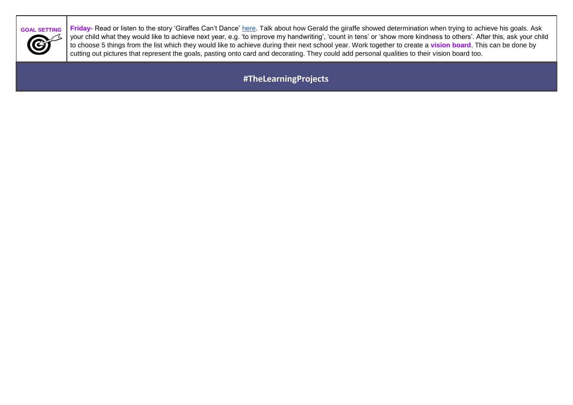

**GOAL SETTING Friday-** Read or listen to the story 'Giraffes Can't Dance' [here.](https://safeyoutube.net/w/tUGG) Talk about how Gerald the giraffe showed determination when trying to achieve his goals. Ask your child what they would like to achieve next year, e.g. 'to improve my handwriting', 'count in tens' or 'show more kindness to others'. After this, ask your child to choose 5 things from the list which they would like to achieve during their next school year. Work together to create a **vision board**. This can be done by cutting out pictures that represent the goals, pasting onto card and decorating. They could add personal qualities to their vision board too.

**#TheLearningProjects**